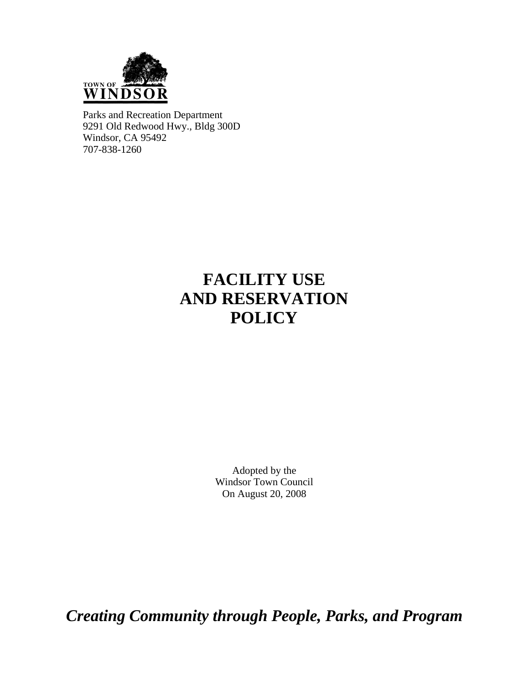

Parks and Recreation Department 9291 Old Redwood Hwy., Bldg 300D Windsor, CA 95492 707-838-1260

# **FACILITY USE AND RESERVATION POLICY**

Adopted by the Windsor Town Council On August 20, 2008

*Creating Community through People, Parks, and Program*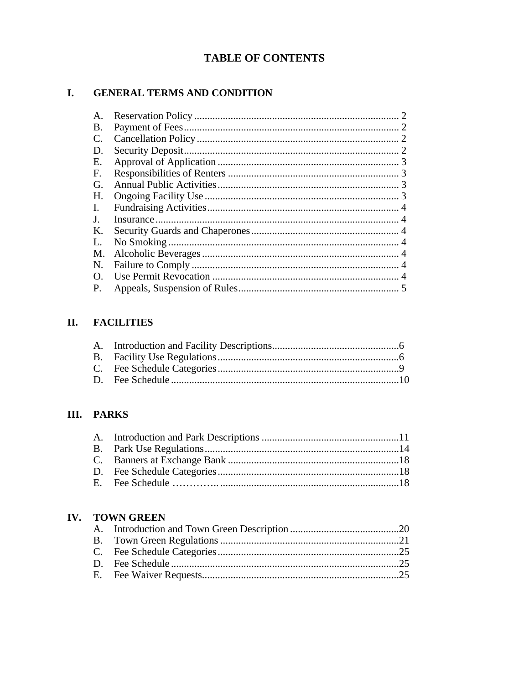## **TABLE OF CONTENTS**

#### **GENERAL TERMS AND CONDITION I.**

| A.        |  |
|-----------|--|
| <b>B.</b> |  |
| C.        |  |
| D.        |  |
| Е.        |  |
| F.        |  |
| G.        |  |
| Н.        |  |
| L.        |  |
| J.        |  |
| Κ.        |  |
| L.        |  |
| M.        |  |
| N.        |  |
| O.        |  |
| P.        |  |

## **II. FACILITIES**

### III. PARKS

### IV. TOWN GREEN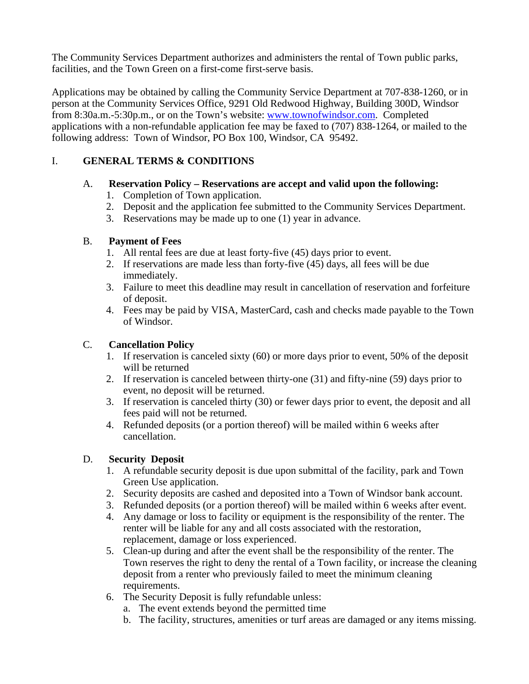The Community Services Department authorizes and administers the rental of Town public parks, facilities, and the Town Green on a first-come first-serve basis.

Applications may be obtained by calling the Community Service Department at 707-838-1260, or in person at the Community Services Office, 9291 Old Redwood Highway, Building 300D, Windsor from 8:30a.m.-5:30p.m., or on the Town's website: [www.townofwindsor.com.](http://www.townofwindsor.com/) Completed applications with a non-refundable application fee may be faxed to (707) 838-1264, or mailed to the following address: Town of Windsor, PO Box 100, Windsor, CA 95492.

### I. **GENERAL TERMS & CONDITIONS**

### A. **Reservation Policy – Reservations are accept and valid upon the following:**

- 1. Completion of Town application.
- 2. Deposit and the application fee submitted to the Community Services Department.
- 3. Reservations may be made up to one (1) year in advance.

### B. **Payment of Fees**

- 1. All rental fees are due at least forty-five (45) days prior to event.
- 2. If reservations are made less than forty-five (45) days, all fees will be due immediately.
- 3. Failure to meet this deadline may result in cancellation of reservation and forfeiture of deposit.
- 4. Fees may be paid by VISA, MasterCard, cash and checks made payable to the Town of Windsor.

### C. **Cancellation Policy**

- 1. If reservation is canceled sixty (60) or more days prior to event, 50% of the deposit will be returned
- 2. If reservation is canceled between thirty-one (31) and fifty-nine (59) days prior to event, no deposit will be returned.
- 3. If reservation is canceled thirty (30) or fewer days prior to event, the deposit and all fees paid will not be returned.
- 4. Refunded deposits (or a portion thereof) will be mailed within 6 weeks after cancellation.

### D. **Security Deposit**

- 1. A refundable security deposit is due upon submittal of the facility, park and Town Green Use application.
- 2. Security deposits are cashed and deposited into a Town of Windsor bank account.
- 3. Refunded deposits (or a portion thereof) will be mailed within 6 weeks after event.
- 4. Any damage or loss to facility or equipment is the responsibility of the renter. The renter will be liable for any and all costs associated with the restoration, replacement, damage or loss experienced.
- 5. Clean-up during and after the event shall be the responsibility of the renter. The Town reserves the right to deny the rental of a Town facility, or increase the cleaning deposit from a renter who previously failed to meet the minimum cleaning requirements.
- 6. The Security Deposit is fully refundable unless:
	- a. The event extends beyond the permitted time
	- b. The facility, structures, amenities or turf areas are damaged or any items missing.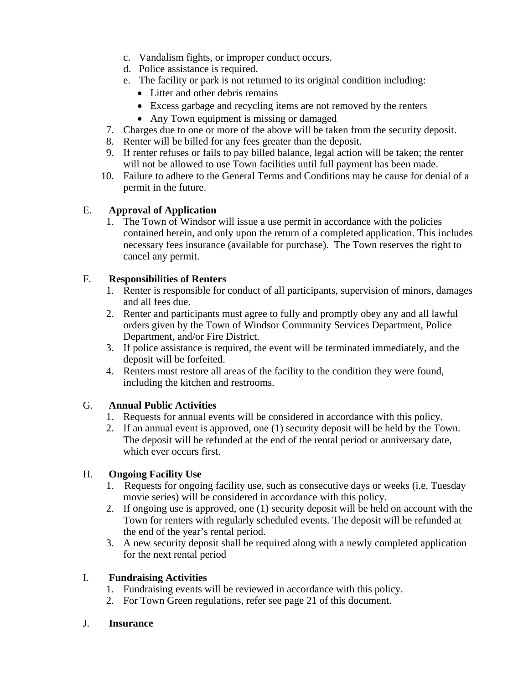- c. Vandalism fights, or improper conduct occurs.
- d. Police assistance is required.
- e. The facility or park is not returned to its original condition including:
	- Litter and other debris remains
	- Excess garbage and recycling items are not removed by the renters
	- Any Town equipment is missing or damaged
- 7. Charges due to one or more of the above will be taken from the security deposit.
- 8. Renter will be billed for any fees greater than the deposit.
- 9. If renter refuses or fails to pay billed balance, legal action will be taken; the renter will not be allowed to use Town facilities until full payment has been made.
- 10. Failure to adhere to the General Terms and Conditions may be cause for denial of a permit in the future.

#### E. **Approval of Application**

1. The Town of Windsor will issue a use permit in accordance with the policies contained herein, and only upon the return of a completed application. This includes necessary fees insurance (available for purchase). The Town reserves the right to cancel any permit.

#### F. **Responsibilities of Renters**

- 1. Renter is responsible for conduct of all participants, supervision of minors, damages and all fees due.
- 2. Renter and participants must agree to fully and promptly obey any and all lawful orders given by the Town of Windsor Community Services Department, Police Department, and/or Fire District.
- 3. If police assistance is required, the event will be terminated immediately, and the deposit will be forfeited.
- 4. Renters must restore all areas of the facility to the condition they were found, including the kitchen and restrooms.

#### G. **Annual Public Activities**

- 1. Requests for annual events will be considered in accordance with this policy.
- 2. If an annual event is approved, one (1) security deposit will be held by the Town. The deposit will be refunded at the end of the rental period or anniversary date, which ever occurs first.

#### H. **Ongoing Facility Use**

- 1. Requests for ongoing facility use, such as consecutive days or weeks (i.e. Tuesday movie series) will be considered in accordance with this policy.
- 2. If ongoing use is approved, one (1) security deposit will be held on account with the Town for renters with regularly scheduled events. The deposit will be refunded at the end of the year's rental period.
- 3. A new security deposit shall be required along with a newly completed application for the next rental period

### I. **Fundraising Activities**

- 1. Fundraising events will be reviewed in accordance with this policy.
- 2. For Town Green regulations, refer see page 21 of this document.

#### J. **Insurance**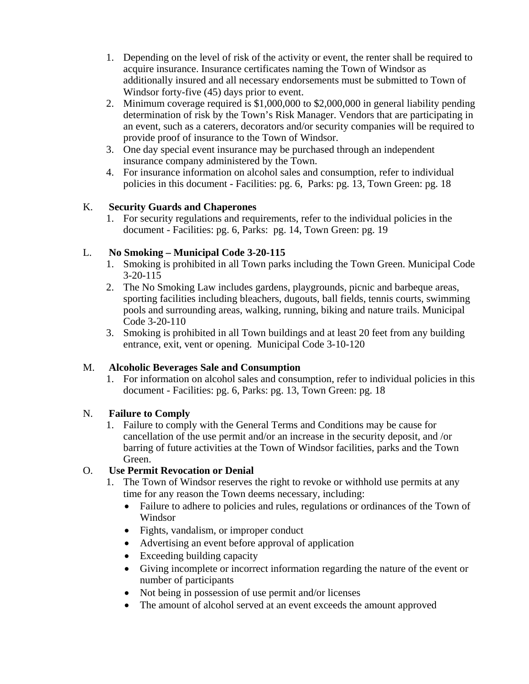- 1. Depending on the level of risk of the activity or event, the renter shall be required to acquire insurance. Insurance certificates naming the Town of Windsor as additionally insured and all necessary endorsements must be submitted to Town of Windsor forty-five (45) days prior to event.
- 2. Minimum coverage required is \$1,000,000 to \$2,000,000 in general liability pending determination of risk by the Town's Risk Manager. Vendors that are participating in an event, such as a caterers, decorators and/or security companies will be required to provide proof of insurance to the Town of Windsor.
- 3. One day special event insurance may be purchased through an independent insurance company administered by the Town.
- 4. For insurance information on alcohol sales and consumption, refer to individual policies in this document - Facilities: pg. 6, Parks: pg. 13, Town Green: pg. 18

### K. **Security Guards and Chaperones**

1. For security regulations and requirements, refer to the individual policies in the document - Facilities: pg. 6, Parks: pg. 14, Town Green: pg. 19

### L. **No Smoking – Municipal Code 3-20-115**

- 1. Smoking is prohibited in all Town parks including the Town Green. Municipal Code 3-20-115
- 2. The No Smoking Law includes gardens, playgrounds, picnic and barbeque areas, sporting facilities including bleachers, dugouts, ball fields, tennis courts, swimming pools and surrounding areas, walking, running, biking and nature trails. Municipal Code 3-20-110
- 3. Smoking is prohibited in all Town buildings and at least 20 feet from any building entrance, exit, vent or opening. Municipal Code 3-10-120

### M. **Alcoholic Beverages Sale and Consumption**

1. For information on alcohol sales and consumption, refer to individual policies in this document - Facilities: pg. 6, Parks: pg. 13, Town Green: pg. 18

### N. **Failure to Comply**

1. Failure to comply with the General Terms and Conditions may be cause for cancellation of the use permit and/or an increase in the security deposit, and /or barring of future activities at the Town of Windsor facilities, parks and the Town Green.

### O. **Use Permit Revocation or Denial**

- 1. The Town of Windsor reserves the right to revoke or withhold use permits at any time for any reason the Town deems necessary, including:
	- Failure to adhere to policies and rules, regulations or ordinances of the Town of Windsor
	- Fights, vandalism, or improper conduct
	- Advertising an event before approval of application
	- Exceeding building capacity
	- Giving incomplete or incorrect information regarding the nature of the event or number of participants
	- Not being in possession of use permit and/or licenses
	- The amount of alcohol served at an event exceeds the amount approved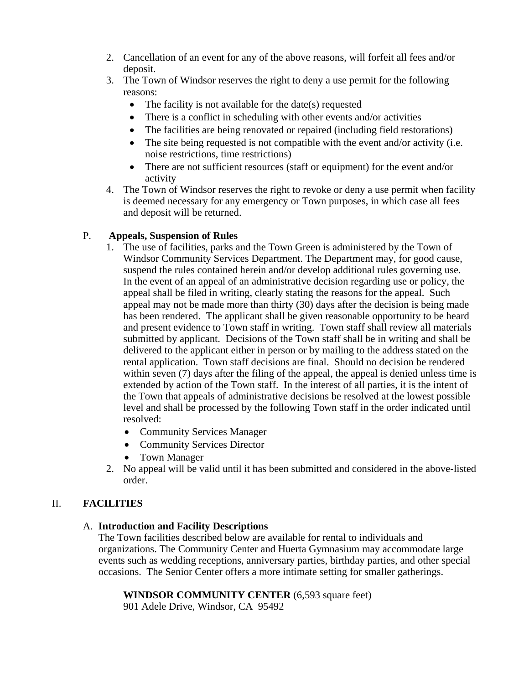- 2. Cancellation of an event for any of the above reasons, will forfeit all fees and/or deposit.
- 3. The Town of Windsor reserves the right to deny a use permit for the following reasons:
	- The facility is not available for the date(s) requested
	- There is a conflict in scheduling with other events and/or activities
	- The facilities are being renovated or repaired (including field restorations)
	- The site being requested is not compatible with the event and/or activity (i.e. noise restrictions, time restrictions)
	- There are not sufficient resources (staff or equipment) for the event and/or activity
- 4. The Town of Windsor reserves the right to revoke or deny a use permit when facility is deemed necessary for any emergency or Town purposes, in which case all fees and deposit will be returned.

### P. **Appeals, Suspension of Rules**

- 1. The use of facilities, parks and the Town Green is administered by the Town of Windsor Community Services Department. The Department may, for good cause, suspend the rules contained herein and/or develop additional rules governing use. In the event of an appeal of an administrative decision regarding use or policy, the appeal shall be filed in writing, clearly stating the reasons for the appeal. Such appeal may not be made more than thirty (30) days after the decision is being made has been rendered. The applicant shall be given reasonable opportunity to be heard and present evidence to Town staff in writing. Town staff shall review all materials submitted by applicant. Decisions of the Town staff shall be in writing and shall be delivered to the applicant either in person or by mailing to the address stated on the rental application. Town staff decisions are final. Should no decision be rendered within seven (7) days after the filing of the appeal, the appeal is denied unless time is extended by action of the Town staff. In the interest of all parties, it is the intent of the Town that appeals of administrative decisions be resolved at the lowest possible level and shall be processed by the following Town staff in the order indicated until resolved:
	- Community Services Manager
	- Community Services Director
	- Town Manager
- 2. No appeal will be valid until it has been submitted and considered in the above-listed order.

### II. **FACILITIES**

### A. **Introduction and Facility Descriptions**

The Town facilities described below are available for rental to individuals and organizations. The Community Center and Huerta Gymnasium may accommodate large events such as wedding receptions, anniversary parties, birthday parties, and other special occasions. The Senior Center offers a more intimate setting for smaller gatherings.

**WINDSOR COMMUNITY CENTER** (6,593 square feet)

901 Adele Drive, Windsor, CA 95492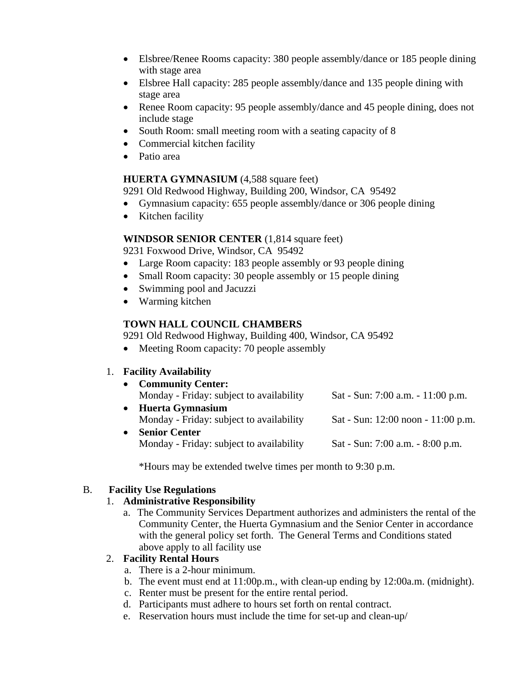- Elsbree/Renee Rooms capacity: 380 people assembly/dance or 185 people dining with stage area
- Elsbree Hall capacity: 285 people assembly/dance and 135 people dining with stage area
- Renee Room capacity: 95 people assembly/dance and 45 people dining, does not include stage
- South Room: small meeting room with a seating capacity of 8
- Commercial kitchen facility
- Patio area

#### **HUERTA GYMNASIUM** (4,588 square feet)

9291 Old Redwood Highway, Building 200, Windsor, CA 95492

- Gymnasium capacity: 655 people assembly/dance or 306 people dining
- Kitchen facility

#### **WINDSOR SENIOR CENTER** (1,814 square feet)

9231 Foxwood Drive, Windsor, CA 95492

- Large Room capacity: 183 people assembly or 93 people dining
- Small Room capacity: 30 people assembly or 15 people dining
- Swimming pool and Jacuzzi
- Warming kitchen

### **TOWN HALL COUNCIL CHAMBERS**

9291 Old Redwood Highway, Building 400, Windsor, CA 95492

• Meeting Room capacity: 70 people assembly

### 1. **Facility Availability**

| • Community Center:                      |                                        |
|------------------------------------------|----------------------------------------|
| Monday - Friday: subject to availability | Sat - Sun: $7:00$ a.m. $-11:00$ p.m.   |
| • Huerta Gymnasium                       |                                        |
| Monday - Friday: subject to availability | Sat - Sun: $12:00$ noon - $11:00$ p.m. |

• **Senior Center** Monday - Friday: subject to availability Sat - Sun: 7:00 a.m. - 8:00 p.m.

\*Hours may be extended twelve times per month to 9:30 p.m.

### B. **Facility Use Regulations**

#### 1. **Administrative Responsibility**

a. The Community Services Department authorizes and administers the rental of the Community Center, the Huerta Gymnasium and the Senior Center in accordance with the general policy set forth. The General Terms and Conditions stated above apply to all facility use

### 2. **Facility Rental Hours**

- a. There is a 2-hour minimum.
- b. The event must end at 11:00p.m., with clean-up ending by 12:00a.m. (midnight).
- c. Renter must be present for the entire rental period.
- d. Participants must adhere to hours set forth on rental contract.
- e. Reservation hours must include the time for set-up and clean-up/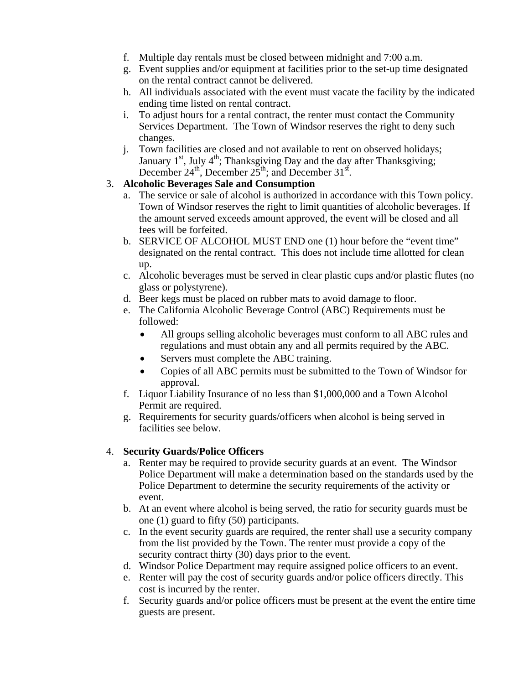- f. Multiple day rentals must be closed between midnight and 7:00 a.m.
- g. Event supplies and/or equipment at facilities prior to the set-up time designated on the rental contract cannot be delivered.
- h. All individuals associated with the event must vacate the facility by the indicated ending time listed on rental contract.
- i. To adjust hours for a rental contract, the renter must contact the Community Services Department. The Town of Windsor reserves the right to deny such changes.
- j. Town facilities are closed and not available to rent on observed holidays; January  $1^{st}$ , July  $4^{th}$ ; Thanksgiving Day and the day after Thanksgiving; December  $24^{\text{th}}$ , December  $25^{\text{th}}$ ; and December  $31^{\text{st}}$ .

### 3. **Alcoholic Beverages Sale and Consumption**

- a. The service or sale of alcohol is authorized in accordance with this Town policy. Town of Windsor reserves the right to limit quantities of alcoholic beverages. If the amount served exceeds amount approved, the event will be closed and all fees will be forfeited.
- b. SERVICE OF ALCOHOL MUST END one (1) hour before the "event time" designated on the rental contract. This does not include time allotted for clean up.
- c. Alcoholic beverages must be served in clear plastic cups and/or plastic flutes (no glass or polystyrene).
- d. Beer kegs must be placed on rubber mats to avoid damage to floor.
- e. The California Alcoholic Beverage Control (ABC) Requirements must be followed:
	- All groups selling alcoholic beverages must conform to all ABC rules and regulations and must obtain any and all permits required by the ABC.
	- Servers must complete the ABC training.
	- Copies of all ABC permits must be submitted to the Town of Windsor for approval.
- f. Liquor Liability Insurance of no less than \$1,000,000 and a Town Alcohol Permit are required.
- g. Requirements for security guards/officers when alcohol is being served in facilities see below.

### 4. **Security Guards/Police Officers**

- a. Renter may be required to provide security guards at an event. The Windsor Police Department will make a determination based on the standards used by the Police Department to determine the security requirements of the activity or event.
- b. At an event where alcohol is being served, the ratio for security guards must be one (1) guard to fifty (50) participants.
- c. In the event security guards are required, the renter shall use a security company from the list provided by the Town. The renter must provide a copy of the security contract thirty (30) days prior to the event.
- d. Windsor Police Department may require assigned police officers to an event.
- e. Renter will pay the cost of security guards and/or police officers directly. This cost is incurred by the renter.
- f. Security guards and/or police officers must be present at the event the entire time guests are present.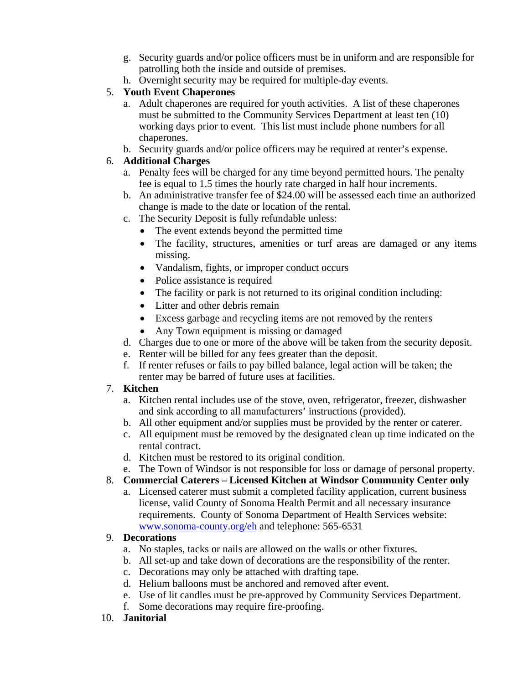- g. Security guards and/or police officers must be in uniform and are responsible for patrolling both the inside and outside of premises.
- h. Overnight security may be required for multiple-day events.

### 5. **Youth Event Chaperones**

- a. Adult chaperones are required for youth activities. A list of these chaperones must be submitted to the Community Services Department at least ten (10) working days prior to event. This list must include phone numbers for all chaperones.
- b. Security guards and/or police officers may be required at renter's expense.

## 6. **Additional Charges**

- a. Penalty fees will be charged for any time beyond permitted hours. The penalty fee is equal to 1.5 times the hourly rate charged in half hour increments.
- b. An administrative transfer fee of \$24.00 will be assessed each time an authorized change is made to the date or location of the rental.
- c. The Security Deposit is fully refundable unless:
	- The event extends beyond the permitted time
	- The facility, structures, amenities or turf areas are damaged or any items missing.
	- Vandalism, fights, or improper conduct occurs
	- Police assistance is required
	- The facility or park is not returned to its original condition including:
	- Litter and other debris remain
	- Excess garbage and recycling items are not removed by the renters
	- Any Town equipment is missing or damaged
- d. Charges due to one or more of the above will be taken from the security deposit.
- e. Renter will be billed for any fees greater than the deposit.
- f. If renter refuses or fails to pay billed balance, legal action will be taken; the renter may be barred of future uses at facilities.

### 7. **Kitchen**

- a. Kitchen rental includes use of the stove, oven, refrigerator, freezer, dishwasher and sink according to all manufacturers' instructions (provided).
- b. All other equipment and/or supplies must be provided by the renter or caterer.
- c. All equipment must be removed by the designated clean up time indicated on the rental contract.
- d. Kitchen must be restored to its original condition.
- e. The Town of Windsor is not responsible for loss or damage of personal property.

### 8. **Commercial Caterers – Licensed Kitchen at Windsor Community Center only**

a. Licensed caterer must submit a completed facility application, current business license, valid County of Sonoma Health Permit and all necessary insurance requirements. County of Sonoma Department of Health Services website: [www.sonoma-county.org/eh](http://www.sonoma-county.org/eh) and telephone: 565-6531

### 9. **Decorations**

- a. No staples, tacks or nails are allowed on the walls or other fixtures.
- b. All set-up and take down of decorations are the responsibility of the renter.
- c. Decorations may only be attached with drafting tape.
- d. Helium balloons must be anchored and removed after event.
- e. Use of lit candles must be pre-approved by Community Services Department.
- f. Some decorations may require fire-proofing.
- 10. **Janitorial**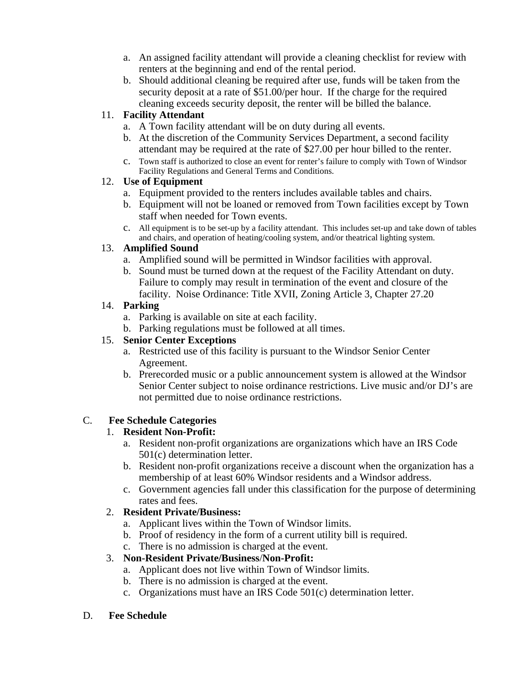- a. An assigned facility attendant will provide a cleaning checklist for review with renters at the beginning and end of the rental period.
- b. Should additional cleaning be required after use, funds will be taken from the security deposit at a rate of \$51.00/per hour. If the charge for the required cleaning exceeds security deposit, the renter will be billed the balance.

### 11. **Facility Attendant**

- a. A Town facility attendant will be on duty during all events.
- b. At the discretion of the Community Services Department, a second facility attendant may be required at the rate of \$27.00 per hour billed to the renter.
- c. Town staff is authorized to close an event for renter's failure to comply with Town of Windsor Facility Regulations and General Terms and Conditions.

#### 12. **Use of Equipment**

- a. Equipment provided to the renters includes available tables and chairs.
- b. Equipment will not be loaned or removed from Town facilities except by Town staff when needed for Town events.
- c. All equipment is to be set-up by a facility attendant. This includes set-up and take down of tables and chairs, and operation of heating/cooling system, and/or theatrical lighting system.

### 13. **Amplified Sound**

- a. Amplified sound will be permitted in Windsor facilities with approval.
- b. Sound must be turned down at the request of the Facility Attendant on duty. Failure to comply may result in termination of the event and closure of the facility. Noise Ordinance: Title XVII, Zoning Article 3, Chapter 27.20

### 14. **Parking**

- a. Parking is available on site at each facility.
- b. Parking regulations must be followed at all times.

#### 15. **Senior Center Exceptions**

- a. Restricted use of this facility is pursuant to the Windsor Senior Center Agreement.
- b. Prerecorded music or a public announcement system is allowed at the Windsor Senior Center subject to noise ordinance restrictions. Live music and/or DJ's are not permitted due to noise ordinance restrictions.

### C. **Fee Schedule Categories**

### 1. **Resident Non-Profit:**

- a. Resident non-profit organizations are organizations which have an IRS Code 501(c) determination letter.
- b. Resident non-profit organizations receive a discount when the organization has a membership of at least 60% Windsor residents and a Windsor address.
- c. Government agencies fall under this classification for the purpose of determining rates and fees.

### 2. **Resident Private/Business:**

- a. Applicant lives within the Town of Windsor limits.
- b. Proof of residency in the form of a current utility bill is required.
- c. There is no admission is charged at the event.

### 3. **Non-Resident Private/Business**/**Non-Profit:**

- a. Applicant does not live within Town of Windsor limits.
- b. There is no admission is charged at the event.
- c. Organizations must have an IRS Code 501(c) determination letter.

#### D. **Fee Schedule**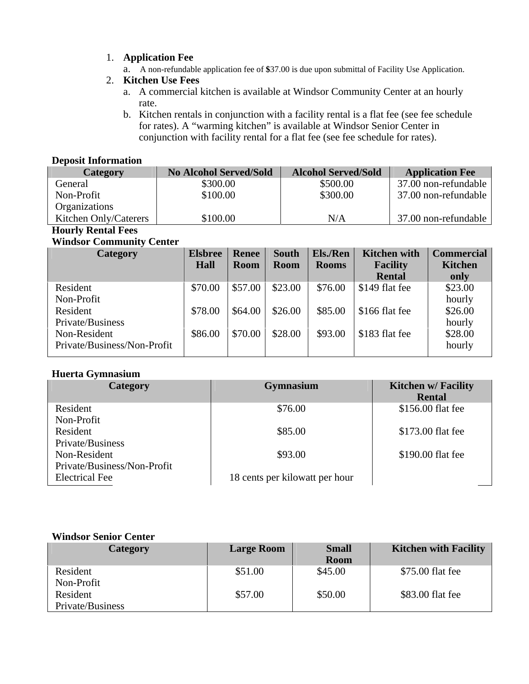- 1. **Application Fee** 
	- a. A non-refundable application fee of **\$**37.00 is due upon submittal of Facility Use Application.
- 2. **Kitchen Use Fees** 
	- a. A commercial kitchen is available at Windsor Community Center at an hourly rate.
	- b. Kitchen rentals in conjunction with a facility rental is a flat fee (see fee schedule for rates). A "warming kitchen" is available at Windsor Senior Center in conjunction with facility rental for a flat fee (see fee schedule for rates).

#### **Deposit Information**

| Category              | <b>No Alcohol Served/Sold</b> | <b>Alcohol Served/Sold</b> | <b>Application Fee</b> |
|-----------------------|-------------------------------|----------------------------|------------------------|
| General               | \$300.00                      | \$500.00                   | 37.00 non-refundable   |
| Non-Profit            | \$100.00                      | \$300.00                   | 37.00 non-refundable   |
| <b>Organizations</b>  |                               |                            |                        |
| Kitchen Only/Caterers | \$100.00                      | N/A                        | 37.00 non-refundable   |

#### **Hourly Rental Fees Windsor Community Center**

| Whitesof Community Center   |                        |                             |                             |                                 |                                        |                                     |
|-----------------------------|------------------------|-----------------------------|-----------------------------|---------------------------------|----------------------------------------|-------------------------------------|
| Category                    | <b>Elsbree</b><br>Hall | <b>Renee</b><br><b>Room</b> | <b>South</b><br><b>Room</b> | <b>Els./Ren</b><br><b>Rooms</b> | <b>Kitchen with</b><br><b>Facility</b> | <b>Commercial</b><br><b>Kitchen</b> |
|                             |                        |                             |                             |                                 | <b>Rental</b>                          | only                                |
| Resident                    | \$70.00                | \$57.00                     | \$23.00                     | \$76.00                         | \$149 flat fee                         | \$23.00                             |
| Non-Profit                  |                        |                             |                             |                                 |                                        | hourly                              |
| Resident                    | \$78.00                | \$64.00                     | \$26.00                     | \$85.00                         | \$166 flat fee                         | \$26.00                             |
| Private/Business            |                        |                             |                             |                                 |                                        | hourly                              |
| Non-Resident                | \$86.00                | \$70.00                     | \$28.00                     | \$93.00                         | \$183 flat fee                         | \$28.00                             |
| Private/Business/Non-Profit |                        |                             |                             |                                 |                                        | hourly                              |
|                             |                        |                             |                             |                                 |                                        |                                     |

#### **Huerta Gymnasium**

| <b>Category</b>             | <b>Gymnasium</b>               | <b>Kitchen w/ Facility</b> |
|-----------------------------|--------------------------------|----------------------------|
|                             |                                | <b>Rental</b>              |
| Resident                    | \$76.00                        | \$156.00 flat fee          |
| Non-Profit                  |                                |                            |
| Resident                    | \$85.00                        | \$173.00 flat fee          |
| Private/Business            |                                |                            |
| Non-Resident                | \$93.00                        | \$190.00 flat fee          |
| Private/Business/Non-Profit |                                |                            |
| <b>Electrical Fee</b>       | 18 cents per kilowatt per hour |                            |

#### **Windsor Senior Center**

| Category         | <b>Large Room</b> | <b>Small</b> | <b>Kitchen with Facility</b> |
|------------------|-------------------|--------------|------------------------------|
|                  |                   | <b>Room</b>  |                              |
| Resident         | \$51.00           | \$45.00      | \$75.00 flat fee             |
| Non-Profit       |                   |              |                              |
| Resident         | \$57.00           | \$50.00      | \$83.00 flat fee             |
| Private/Business |                   |              |                              |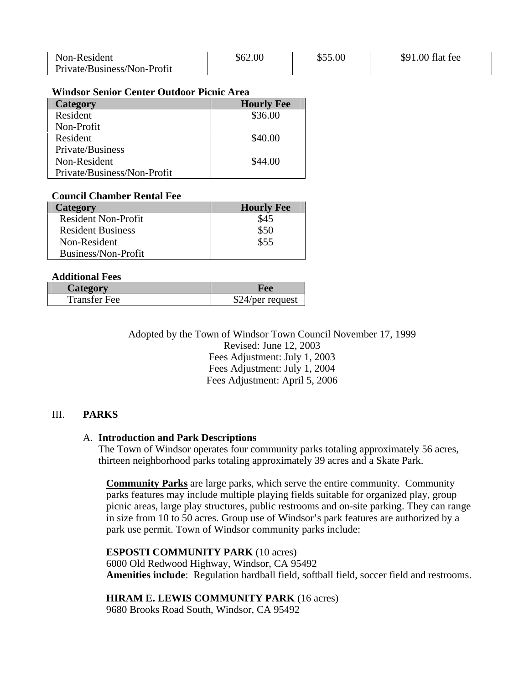| Non-Resident                | \$62.00 | \$55.00 | \$91.00 flat fee |
|-----------------------------|---------|---------|------------------|
| Private/Business/Non-Profit |         |         |                  |

#### **Windsor Senior Center Outdoor Picnic Area**

| Category                    | <b>Hourly Fee</b> |
|-----------------------------|-------------------|
| Resident                    | \$36.00           |
| Non-Profit                  |                   |
| Resident                    | \$40.00           |
| Private/Business            |                   |
| Non-Resident                | \$44.00           |
| Private/Business/Non-Profit |                   |

#### **Council Chamber Rental Fee**

| Category                   | <b>Hourly Fee</b> |
|----------------------------|-------------------|
| <b>Resident Non-Profit</b> | \$45              |
| <b>Resident Business</b>   | \$50              |
| Non-Resident               | \$55              |
| Business/Non-Profit        |                   |

#### **Additional Fees**

| Category            |               |
|---------------------|---------------|
| <b>Transfer Fee</b> | 4/per request |

Adopted by the Town of Windsor Town Council November 17, 1999 Revised: June 12, 2003 Fees Adjustment: July 1, 2003 Fees Adjustment: July 1, 2004 Fees Adjustment: April 5, 2006

#### III. **PARKS**

#### A. **Introduction and Park Descriptions**

The Town of Windsor operates four community parks totaling approximately 56 acres, thirteen neighborhood parks totaling approximately 39 acres and a Skate Park.

**Community Parks** are large parks, which serve the entire community. Community parks features may include multiple playing fields suitable for organized play, group picnic areas, large play structures, public restrooms and on-site parking. They can range in size from 10 to 50 acres. Group use of Windsor's park features are authorized by a park use permit. Town of Windsor community parks include:

#### **ESPOSTI COMMUNITY PARK** (10 acres)

6000 Old Redwood Highway, Windsor, CA 95492 **Amenities include**: Regulation hardball field, softball field, soccer field and restrooms.

#### **HIRAM E. LEWIS COMMUNITY PARK** (16 acres)

9680 Brooks Road South, Windsor, CA 95492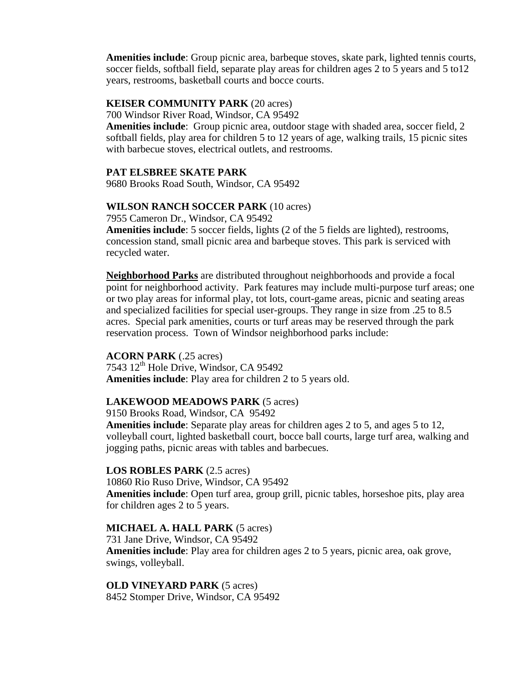**Amenities include**: Group picnic area, barbeque stoves, skate park, lighted tennis courts, soccer fields, softball field, separate play areas for children ages 2 to 5 years and 5 to12 years, restrooms, basketball courts and bocce courts.

#### **KEISER COMMUNITY PARK** (20 acres)

700 Windsor River Road, Windsor, CA 95492

**Amenities include**: Group picnic area, outdoor stage with shaded area, soccer field, 2 softball fields, play area for children 5 to 12 years of age, walking trails, 15 picnic sites with barbecue stoves, electrical outlets, and restrooms.

#### **PAT ELSBREE SKATE PARK**

9680 Brooks Road South, Windsor, CA 95492

#### **WILSON RANCH SOCCER PARK** (10 acres)

7955 Cameron Dr., Windsor, CA 95492

**Amenities include**: 5 soccer fields, lights (2 of the 5 fields are lighted), restrooms, concession stand, small picnic area and barbeque stoves. This park is serviced with recycled water.

**Neighborhood Parks** are distributed throughout neighborhoods and provide a focal point for neighborhood activity. Park features may include multi-purpose turf areas; one or two play areas for informal play, tot lots, court-game areas, picnic and seating areas and specialized facilities for special user-groups. They range in size from .25 to 8.5 acres. Special park amenities, courts or turf areas may be reserved through the park reservation process. Town of Windsor neighborhood parks include:

#### **ACORN PARK** (.25 acres)

 $7543$   $12^{\text{th}}$  Hole Drive, Windsor, CA 95492 **Amenities include**: Play area for children 2 to 5 years old.

#### **LAKEWOOD MEADOWS PARK** (5 acres)

9150 Brooks Road, Windsor, CA 95492

**Amenities include**: Separate play areas for children ages 2 to 5, and ages 5 to 12, volleyball court, lighted basketball court, bocce ball courts, large turf area, walking and jogging paths, picnic areas with tables and barbecues.

#### **LOS ROBLES PARK** (2.5 acres)

10860 Rio Ruso Drive, Windsor, CA 95492 **Amenities include**: Open turf area, group grill, picnic tables, horseshoe pits, play area for children ages 2 to 5 years.

#### **MICHAEL A. HALL PARK** (5 acres)

731 Jane Drive, Windsor, CA 95492 **Amenities include**: Play area for children ages 2 to 5 years, picnic area, oak grove, swings, volleyball.

**OLD VINEYARD PARK** (5 acres) 8452 Stomper Drive, Windsor, CA 95492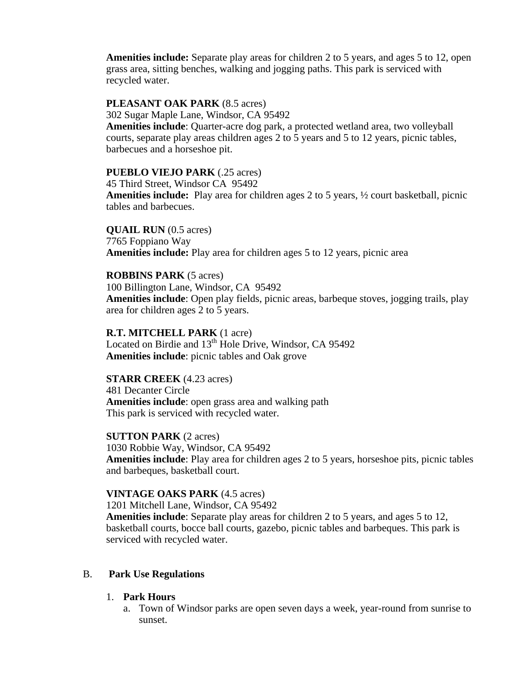**Amenities include:** Separate play areas for children 2 to 5 years, and ages 5 to 12, open grass area, sitting benches, walking and jogging paths. This park is serviced with recycled water.

#### **PLEASANT OAK PARK** (8.5 acres)

302 Sugar Maple Lane, Windsor, CA 95492

**Amenities include**: Quarter-acre dog park, a protected wetland area, two volleyball courts, separate play areas children ages 2 to 5 years and 5 to 12 years, picnic tables, barbecues and a horseshoe pit.

#### **PUEBLO VIEJO PARK** (.25 acres)

45 Third Street, Windsor CA 95492 **Amenities include:** Play area for children ages 2 to 5 years, ½ court basketball, picnic tables and barbecues.

#### **QUAIL RUN** (0.5 acres)

7765 Foppiano Way **Amenities include:** Play area for children ages 5 to 12 years, picnic area

#### **ROBBINS PARK** (5 acres)

100 Billington Lane, Windsor, CA 95492 **Amenities include**: Open play fields, picnic areas, barbeque stoves, jogging trails, play area for children ages 2 to 5 years.

## **R.T. MITCHELL PARK** (1 acre)

Located on Birdie and 13<sup>th</sup> Hole Drive, Windsor, CA 95492 **Amenities include**: picnic tables and Oak grove

#### **STARR CREEK** (4.23 acres) 481 Decanter Circle **Amenities include**: open grass area and walking path This park is serviced with recycled water.

**SUTTON PARK** (2 acres) 1030 Robbie Way, Windsor, CA 95492 **Amenities include**: Play area for children ages 2 to 5 years, horseshoe pits, picnic tables and barbeques, basketball court.

#### **VINTAGE OAKS PARK** (4.5 acres)

1201 Mitchell Lane, Windsor, CA 95492 **Amenities include**: Separate play areas for children 2 to 5 years, and ages 5 to 12, basketball courts, bocce ball courts, gazebo, picnic tables and barbeques. This park is serviced with recycled water.

#### B. **Park Use Regulations**

#### 1. **Park Hours**

a. Town of Windsor parks are open seven days a week, year-round from sunrise to sunset.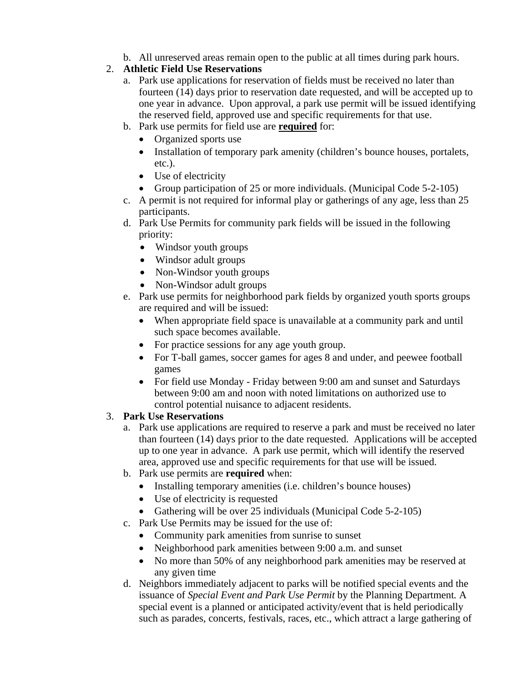b. All unreserved areas remain open to the public at all times during park hours.

## 2. **Athletic Field Use Reservations**

- a. Park use applications for reservation of fields must be received no later than fourteen (14) days prior to reservation date requested, and will be accepted up to one year in advance. Upon approval, a park use permit will be issued identifying the reserved field, approved use and specific requirements for that use.
- b. Park use permits for field use are **required** for:
	- Organized sports use
	- Installation of temporary park amenity (children's bounce houses, portalets, etc.).
	- Use of electricity
	- Group participation of 25 or more individuals. (Municipal Code 5-2-105)
- c. A permit is not required for informal play or gatherings of any age, less than 25 participants.
- d. Park Use Permits for community park fields will be issued in the following priority:
	- Windsor youth groups
	- Windsor adult groups
	- Non-Windsor youth groups
	- Non-Windsor adult groups
- e. Park use permits for neighborhood park fields by organized youth sports groups are required and will be issued:
	- When appropriate field space is unavailable at a community park and until such space becomes available.
	- For practice sessions for any age youth group.
	- For T-ball games, soccer games for ages 8 and under, and peewee football games
	- For field use Monday Friday between 9:00 am and sunset and Saturdays between 9:00 am and noon with noted limitations on authorized use to control potential nuisance to adjacent residents.
- 3. **Park Use Reservations** 
	- a. Park use applications are required to reserve a park and must be received no later than fourteen (14) days prior to the date requested. Applications will be accepted up to one year in advance. A park use permit, which will identify the reserved area, approved use and specific requirements for that use will be issued.
	- b. Park use permits are **required** when:
		- Installing temporary amenities (i.e. children's bounce houses)
		- Use of electricity is requested
		- Gathering will be over 25 individuals (Municipal Code 5-2-105)
	- c. Park Use Permits may be issued for the use of:
		- Community park amenities from sunrise to sunset
		- Neighborhood park amenities between 9:00 a.m. and sunset
		- No more than 50% of any neighborhood park amenities may be reserved at any given time
	- d. Neighbors immediately adjacent to parks will be notified special events and the issuance of *Special Event and Park Use Permit* by the Planning Department*.* A special event is a planned or anticipated activity/event that is held periodically such as parades, concerts, festivals, races, etc., which attract a large gathering of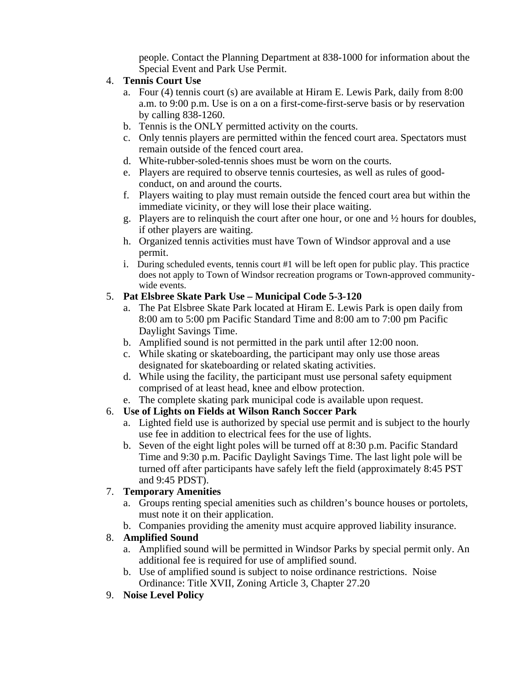people. Contact the Planning Department at 838-1000 for information about the Special Event and Park Use Permit.

- 4. **Tennis Court Use** 
	- a. Four (4) tennis court (s) are available at Hiram E. Lewis Park, daily from 8:00 a.m. to 9:00 p.m. Use is on a on a first-come-first-serve basis or by reservation by calling 838-1260.
	- b. Tennis is the ONLY permitted activity on the courts.
	- c. Only tennis players are permitted within the fenced court area. Spectators must remain outside of the fenced court area.
	- d. White-rubber-soled-tennis shoes must be worn on the courts.
	- e. Players are required to observe tennis courtesies, as well as rules of goodconduct, on and around the courts.
	- f. Players waiting to play must remain outside the fenced court area but within the immediate vicinity, or they will lose their place waiting.
	- g. Players are to relinquish the court after one hour, or one and ½ hours for doubles, if other players are waiting.
	- h. Organized tennis activities must have Town of Windsor approval and a use permit.
	- i. During scheduled events, tennis court #1 will be left open for public play. This practice does not apply to Town of Windsor recreation programs or Town-approved communitywide events.

#### 5. **Pat Elsbree Skate Park Use – Municipal Code 5-3-120**

- a. The Pat Elsbree Skate Park located at Hiram E. Lewis Park is open daily from 8:00 am to 5:00 pm Pacific Standard Time and 8:00 am to 7:00 pm Pacific Daylight Savings Time.
- b. Amplified sound is not permitted in the park until after 12:00 noon.
- c. While skating or skateboarding, the participant may only use those areas designated for skateboarding or related skating activities.
- d. While using the facility, the participant must use personal safety equipment comprised of at least head, knee and elbow protection.
- e. The complete skating park municipal code is available upon request.

### 6. **Use of Lights on Fields at Wilson Ranch Soccer Park**

- a. Lighted field use is authorized by special use permit and is subject to the hourly use fee in addition to electrical fees for the use of lights.
- b. Seven of the eight light poles will be turned off at 8:30 p.m. Pacific Standard Time and 9:30 p.m. Pacific Daylight Savings Time. The last light pole will be turned off after participants have safely left the field (approximately 8:45 PST and 9:45 PDST).

### 7. **Temporary Amenities**

- a. Groups renting special amenities such as children's bounce houses or portolets, must note it on their application.
- b. Companies providing the amenity must acquire approved liability insurance.

### 8. **Amplified Sound**

- a. Amplified sound will be permitted in Windsor Parks by special permit only. An additional fee is required for use of amplified sound.
- b. Use of amplified sound is subject to noise ordinance restrictions. Noise Ordinance: Title XVII, Zoning Article 3, Chapter 27.20
- 9. **Noise Level Policy**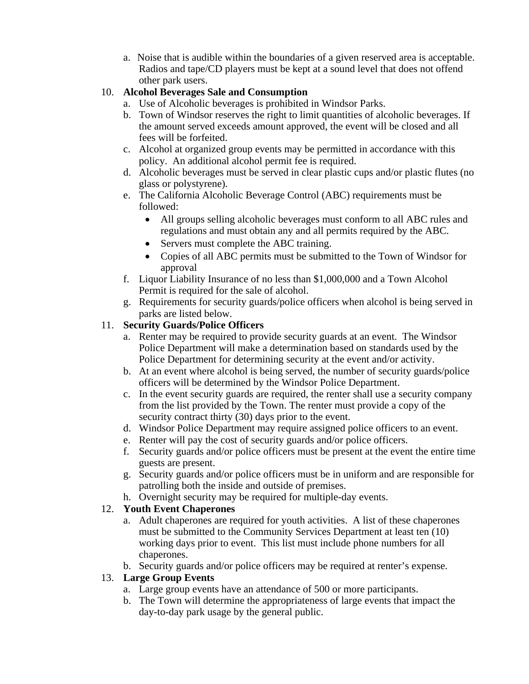a. Noise that is audible within the boundaries of a given reserved area is acceptable. Radios and tape/CD players must be kept at a sound level that does not offend other park users.

### 10. **Alcohol Beverages Sale and Consumption**

- a. Use of Alcoholic beverages is prohibited in Windsor Parks.
- b. Town of Windsor reserves the right to limit quantities of alcoholic beverages. If the amount served exceeds amount approved, the event will be closed and all fees will be forfeited.
- c. Alcohol at organized group events may be permitted in accordance with this policy. An additional alcohol permit fee is required.
- d. Alcoholic beverages must be served in clear plastic cups and/or plastic flutes (no glass or polystyrene).
- e. The California Alcoholic Beverage Control (ABC) requirements must be followed:
	- All groups selling alcoholic beverages must conform to all ABC rules and regulations and must obtain any and all permits required by the ABC.
	- Servers must complete the ABC training.
	- Copies of all ABC permits must be submitted to the Town of Windsor for approval
- f. Liquor Liability Insurance of no less than \$1,000,000 and a Town Alcohol Permit is required for the sale of alcohol.
- g. Requirements for security guards/police officers when alcohol is being served in parks are listed below.

### 11. **Security Guards/Police Officers**

- a. Renter may be required to provide security guards at an event. The Windsor Police Department will make a determination based on standards used by the Police Department for determining security at the event and/or activity.
- b. At an event where alcohol is being served, the number of security guards/police officers will be determined by the Windsor Police Department.
- c. In the event security guards are required, the renter shall use a security company from the list provided by the Town. The renter must provide a copy of the security contract thirty (30) days prior to the event.
- d. Windsor Police Department may require assigned police officers to an event.
- e. Renter will pay the cost of security guards and/or police officers.
- f. Security guards and/or police officers must be present at the event the entire time guests are present.
- g. Security guards and/or police officers must be in uniform and are responsible for patrolling both the inside and outside of premises.
- h. Overnight security may be required for multiple-day events.

### 12. **Youth Event Chaperones**

- a. Adult chaperones are required for youth activities. A list of these chaperones must be submitted to the Community Services Department at least ten (10) working days prior to event. This list must include phone numbers for all chaperones.
- b. Security guards and/or police officers may be required at renter's expense.

### 13. **Large Group Events**

- a. Large group events have an attendance of 500 or more participants.
- b. The Town will determine the appropriateness of large events that impact the day-to-day park usage by the general public.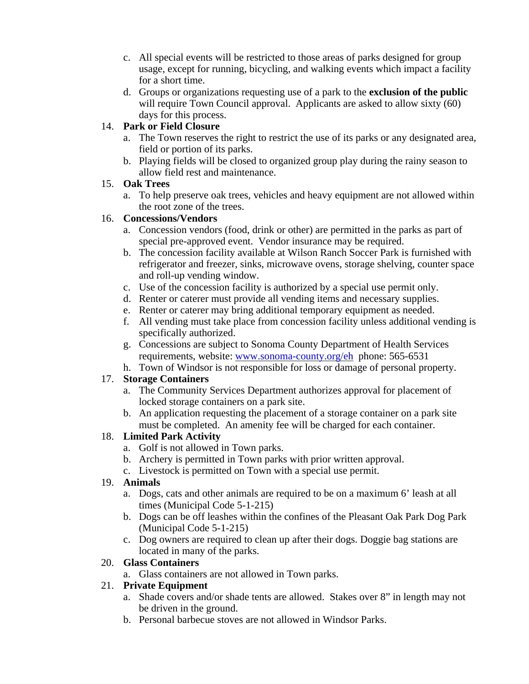- c. All special events will be restricted to those areas of parks designed for group usage, except for running, bicycling, and walking events which impact a facility for a short time.
- d. Groups or organizations requesting use of a park to the **exclusion of the public** will require Town Council approval. Applicants are asked to allow sixty (60) days for this process.

### 14. **Park or Field Closure**

- a. The Town reserves the right to restrict the use of its parks or any designated area, field or portion of its parks.
- b. Playing fields will be closed to organized group play during the rainy season to allow field rest and maintenance.

### 15. **Oak Trees**

a. To help preserve oak trees, vehicles and heavy equipment are not allowed within the root zone of the trees.

### 16. **Concessions/Vendors**

- a. Concession vendors (food, drink or other) are permitted in the parks as part of special pre-approved event. Vendor insurance may be required.
- b. The concession facility available at Wilson Ranch Soccer Park is furnished with refrigerator and freezer, sinks, microwave ovens, storage shelving, counter space and roll-up vending window.
- c. Use of the concession facility is authorized by a special use permit only.
- d. Renter or caterer must provide all vending items and necessary supplies.
- e. Renter or caterer may bring additional temporary equipment as needed.
- f. All vending must take place from concession facility unless additional vending is specifically authorized.
- g. Concessions are subject to Sonoma County Department of Health Services requirements, website: [www.sonoma-county.org/eh](http://www.sonoma-county.org/eh) phone: 565-6531
- h. Town of Windsor is not responsible for loss or damage of personal property.

### 17. **Storage Containers**

- a. The Community Services Department authorizes approval for placement of locked storage containers on a park site.
- b. An application requesting the placement of a storage container on a park site must be completed. An amenity fee will be charged for each container.

### 18. **Limited Park Activity**

- a. Golf is not allowed in Town parks.
- b. Archery is permitted in Town parks with prior written approval.
- c. Livestock is permitted on Town with a special use permit.

### 19. **Animals**

- a. Dogs, cats and other animals are required to be on a maximum 6' leash at all times (Municipal Code 5-1-215)
- b. Dogs can be off leashes within the confines of the Pleasant Oak Park Dog Park (Municipal Code 5-1-215)
- c. Dog owners are required to clean up after their dogs. Doggie bag stations are located in many of the parks.

### 20. **Glass Containers**

a. Glass containers are not allowed in Town parks.

### 21. **Private Equipment**

- a. Shade covers and/or shade tents are allowed. Stakes over 8" in length may not be driven in the ground.
- b. Personal barbecue stoves are not allowed in Windsor Parks.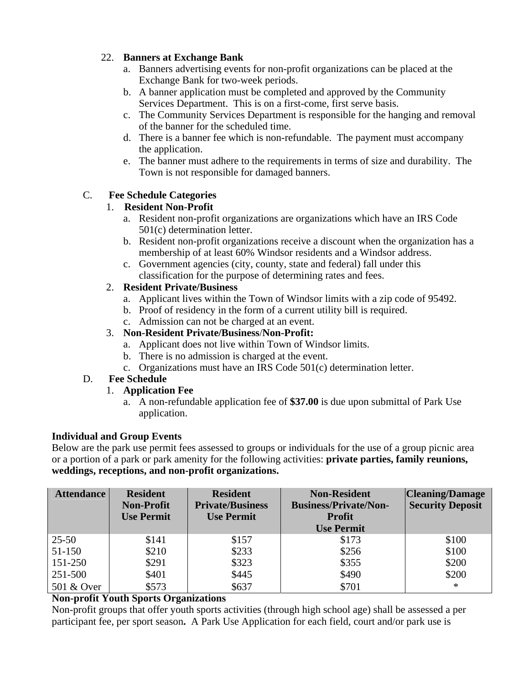### 22. **Banners at Exchange Bank**

- a. Banners advertising events for non-profit organizations can be placed at the Exchange Bank for two-week periods.
- b. A banner application must be completed and approved by the Community Services Department. This is on a first-come, first serve basis.
- c. The Community Services Department is responsible for the hanging and removal of the banner for the scheduled time.
- d. There is a banner fee which is non-refundable. The payment must accompany the application.
- e. The banner must adhere to the requirements in terms of size and durability. The Town is not responsible for damaged banners.

### C. **Fee Schedule Categories**

### 1. **Resident Non-Profit**

- a. Resident non-profit organizations are organizations which have an IRS Code 501(c) determination letter.
- b. Resident non-profit organizations receive a discount when the organization has a membership of at least 60% Windsor residents and a Windsor address.
- c. Government agencies (city, county, state and federal) fall under this classification for the purpose of determining rates and fees.

### 2. **Resident Private/Business**

- a. Applicant lives within the Town of Windsor limits with a zip code of 95492.
- b. Proof of residency in the form of a current utility bill is required.
- c. Admission can not be charged at an event.

### 3. **Non-Resident Private/Business**/**Non-Profit:**

- a. Applicant does not live within Town of Windsor limits.
- b. There is no admission is charged at the event.
- c. Organizations must have an IRS Code 501(c) determination letter.

### D. **Fee Schedule**

### 1. **Application Fee**

a. A non-refundable application fee of **\$37.00** is due upon submittal of Park Use application.

### **Individual and Group Events**

Below are the park use permit fees assessed to groups or individuals for the use of a group picnic area or a portion of a park or park amenity for the following activities: **private parties, family reunions, weddings, receptions, and non-profit organizations.** 

| Attendance | <b>Resident</b><br><b>Non-Profit</b><br><b>Use Permit</b> | <b>Resident</b><br><b>Private/Business</b><br><b>Use Permit</b> | <b>Non-Resident</b><br><b>Business/Private/Non-</b><br><b>Profit</b><br><b>Use Permit</b> | <b>Cleaning/Damage</b><br><b>Security Deposit</b> |
|------------|-----------------------------------------------------------|-----------------------------------------------------------------|-------------------------------------------------------------------------------------------|---------------------------------------------------|
| $25 - 50$  | \$141                                                     | \$157                                                           | \$173                                                                                     | \$100                                             |
| 51-150     | \$210                                                     | \$233                                                           | \$256                                                                                     | \$100                                             |
| 151-250    | \$291                                                     | \$323                                                           | \$355                                                                                     | \$200                                             |
| 251-500    | \$401                                                     | \$445                                                           | \$490                                                                                     | \$200                                             |
| 501 & Over | \$573                                                     | \$637                                                           | \$701                                                                                     | $\ast$                                            |

### **Non-profit Youth Sports Organizations**

Non-profit groups that offer youth sports activities (through high school age) shall be assessed a per participant fee, per sport season**.** A Park Use Application for each field, court and/or park use is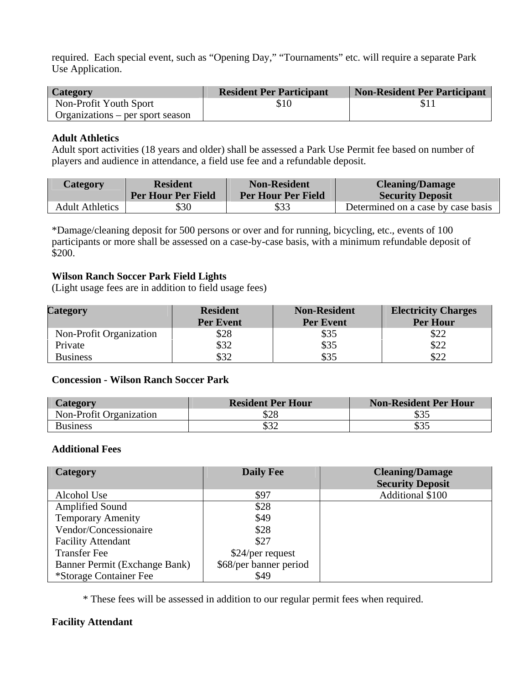required. Each special event, such as "Opening Day," "Tournaments" etc. will require a separate Park Use Application.

| Category                         | <b>Resident Per Participant</b> | <b>Non-Resident Per Participant</b> |
|----------------------------------|---------------------------------|-------------------------------------|
| Non-Profit Youth Sport           | \$10                            | SП                                  |
| Organizations – per sport season |                                 |                                     |

#### **Adult Athletics**

Adult sport activities (18 years and older) shall be assessed a Park Use Permit fee based on number of players and audience in attendance, a field use fee and a refundable deposit.

| <b>Category</b>        | <b>Resident</b><br><b>Per Hour Per Field</b> | <b>Non-Resident</b><br><b>Per Hour Per Field</b> | <b>Cleaning/Damage</b><br><b>Security Deposit</b> |
|------------------------|----------------------------------------------|--------------------------------------------------|---------------------------------------------------|
|                        |                                              |                                                  |                                                   |
| <b>Adult Athletics</b> | \$30                                         | \$33                                             | Determined on a case by case basis                |

\*Damage/cleaning deposit for 500 persons or over and for running, bicycling, etc., events of 100 participants or more shall be assessed on a case-by-case basis, with a minimum refundable deposit of \$200.

#### **Wilson Ranch Soccer Park Field Lights**

(Light usage fees are in addition to field usage fees)

| Category                | <b>Resident</b><br><b>Per Event</b> | <b>Non-Resident</b><br><b>Per Event</b> | <b>Electricity Charges</b><br><b>Per Hour</b> |
|-------------------------|-------------------------------------|-----------------------------------------|-----------------------------------------------|
| Non-Profit Organization | \$28                                | \$35                                    | \$22                                          |
| Private                 | \$32                                | \$35                                    | \$22                                          |
| <b>Business</b>         | \$32                                | \$35                                    | \$22                                          |

#### **Concession - Wilson Ranch Soccer Park**

| Category                | <b>Resident Per Hour</b> | Non-Resident Per Hour |
|-------------------------|--------------------------|-----------------------|
| Non-Profit Organization | \$28                     | \$35                  |
| <b>Business</b>         | \$32                     | \$35                  |

#### **Additional Fees**

| Category                      | <b>Daily Fee</b>       | <b>Cleaning/Damage</b><br><b>Security Deposit</b> |
|-------------------------------|------------------------|---------------------------------------------------|
| Alcohol Use                   | \$97                   | Additional \$100                                  |
| <b>Amplified Sound</b>        | \$28                   |                                                   |
| <b>Temporary Amenity</b>      | \$49                   |                                                   |
| Vendor/Concessionaire         | \$28                   |                                                   |
| <b>Facility Attendant</b>     | \$27                   |                                                   |
| <b>Transfer Fee</b>           | \$24/per request       |                                                   |
| Banner Permit (Exchange Bank) | \$68/per banner period |                                                   |
| *Storage Container Fee        | \$49                   |                                                   |

\* These fees will be assessed in addition to our regular permit fees when required.

#### **Facility Attendant**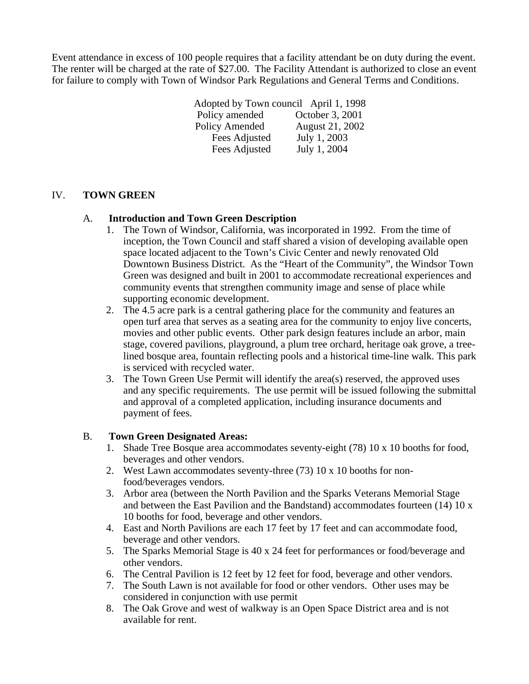Event attendance in excess of 100 people requires that a facility attendant be on duty during the event. The renter will be charged at the rate of \$27.00. The Facility Attendant is authorized to close an event for failure to comply with Town of Windsor Park Regulations and General Terms and Conditions.

> Adopted by Town council April 1, 1998 Policy amended October 3, 2001 Policy Amended August 21, 2002<br>Fees Adjusted July 1, 2003 Fees Adjusted Fees Adjusted July 1, 2004

#### IV. **TOWN GREEN**

#### A. **Introduction and Town Green Description**

- 1. The Town of Windsor, California, was incorporated in 1992. From the time of inception, the Town Council and staff shared a vision of developing available open space located adjacent to the Town's Civic Center and newly renovated Old Downtown Business District. As the "Heart of the Community", the Windsor Town Green was designed and built in 2001 to accommodate recreational experiences and community events that strengthen community image and sense of place while supporting economic development.
- 2. The 4.5 acre park is a central gathering place for the community and features an open turf area that serves as a seating area for the community to enjoy live concerts, movies and other public events. Other park design features include an arbor, main stage, covered pavilions, playground, a plum tree orchard, heritage oak grove, a treelined bosque area, fountain reflecting pools and a historical time-line walk. This park is serviced with recycled water.
- 3. The Town Green Use Permit will identify the area(s) reserved, the approved uses and any specific requirements. The use permit will be issued following the submittal and approval of a completed application, including insurance documents and payment of fees.

#### B. **Town Green Designated Areas:**

- 1. Shade Tree Bosque area accommodates seventy-eight (78) 10 x 10 booths for food, beverages and other vendors.
- 2. West Lawn accommodates seventy-three (73) 10 x 10 booths for nonfood/beverages vendors.
- 3. Arbor area (between the North Pavilion and the Sparks Veterans Memorial Stage and between the East Pavilion and the Bandstand) accommodates fourteen (14) 10 x 10 booths for food, beverage and other vendors.
- 4. East and North Pavilions are each 17 feet by 17 feet and can accommodate food, beverage and other vendors.
- 5. The Sparks Memorial Stage is 40 x 24 feet for performances or food/beverage and other vendors.
- 6. The Central Pavilion is 12 feet by 12 feet for food, beverage and other vendors.
- 7. The South Lawn is not available for food or other vendors. Other uses may be considered in conjunction with use permit
- 8. The Oak Grove and west of walkway is an Open Space District area and is not available for rent.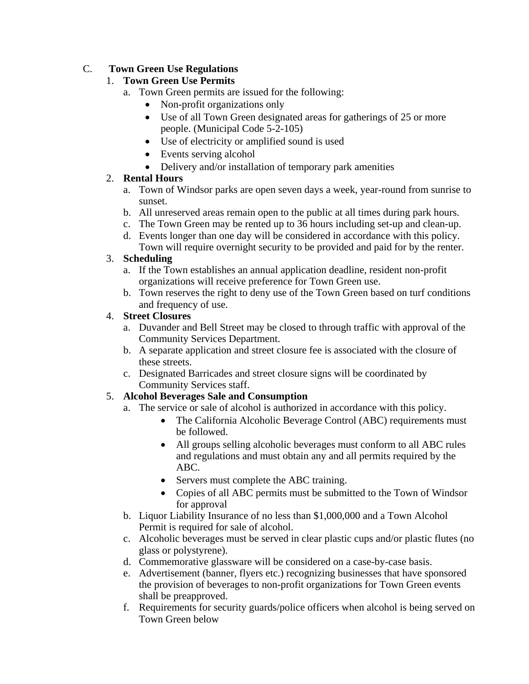### C. **Town Green Use Regulations**

### 1. **Town Green Use Permits**

- a. Town Green permits are issued for the following:
	- Non-profit organizations only
	- Use of all Town Green designated areas for gatherings of 25 or more people. (Municipal Code 5-2-105)
	- Use of electricity or amplified sound is used
	- Events serving alcohol
	- Delivery and/or installation of temporary park amenities

### 2. **Rental Hours**

- a. Town of Windsor parks are open seven days a week, year-round from sunrise to sunset.
- b. All unreserved areas remain open to the public at all times during park hours.
- c. The Town Green may be rented up to 36 hours including set-up and clean-up.
- d. Events longer than one day will be considered in accordance with this policy. Town will require overnight security to be provided and paid for by the renter.

### 3. **Scheduling**

- a. If the Town establishes an annual application deadline, resident non-profit organizations will receive preference for Town Green use.
- b. Town reserves the right to deny use of the Town Green based on turf conditions and frequency of use.

### 4. **Street Closures**

- a. Duvander and Bell Street may be closed to through traffic with approval of the Community Services Department.
- b. A separate application and street closure fee is associated with the closure of these streets.
- c. Designated Barricades and street closure signs will be coordinated by Community Services staff.

### 5. **Alcohol Beverages Sale and Consumption**

- a. The service or sale of alcohol is authorized in accordance with this policy.
	- The California Alcoholic Beverage Control (ABC) requirements must be followed.
	- All groups selling alcoholic beverages must conform to all ABC rules and regulations and must obtain any and all permits required by the ABC.
	- Servers must complete the ABC training.
	- Copies of all ABC permits must be submitted to the Town of Windsor for approval
- b. Liquor Liability Insurance of no less than \$1,000,000 and a Town Alcohol Permit is required for sale of alcohol.
- c. Alcoholic beverages must be served in clear plastic cups and/or plastic flutes (no glass or polystyrene).
- d. Commemorative glassware will be considered on a case-by-case basis.
- e. Advertisement (banner, flyers etc.) recognizing businesses that have sponsored the provision of beverages to non-profit organizations for Town Green events shall be preapproved.
- f. Requirements for security guards/police officers when alcohol is being served on Town Green below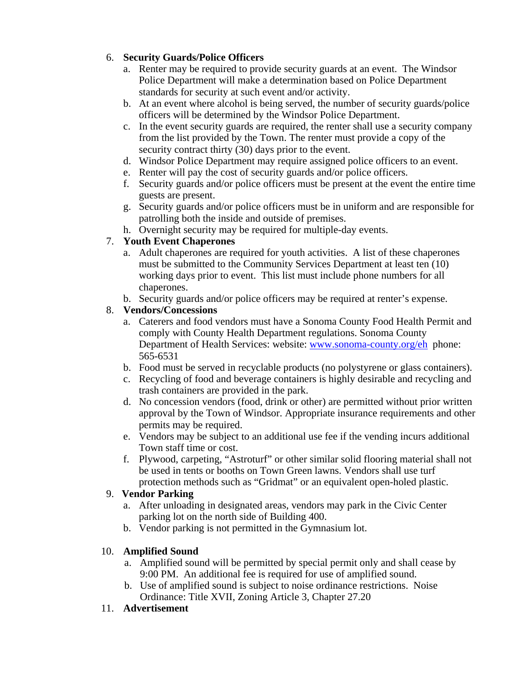### 6. **Security Guards/Police Officers**

- a. Renter may be required to provide security guards at an event. The Windsor Police Department will make a determination based on Police Department standards for security at such event and/or activity.
- b. At an event where alcohol is being served, the number of security guards/police officers will be determined by the Windsor Police Department.
- c. In the event security guards are required, the renter shall use a security company from the list provided by the Town. The renter must provide a copy of the security contract thirty (30) days prior to the event.
- d. Windsor Police Department may require assigned police officers to an event.
- e. Renter will pay the cost of security guards and/or police officers.
- f. Security guards and/or police officers must be present at the event the entire time guests are present.
- g. Security guards and/or police officers must be in uniform and are responsible for patrolling both the inside and outside of premises.
- h. Overnight security may be required for multiple-day events.

### 7. **Youth Event Chaperones**

- a. Adult chaperones are required for youth activities. A list of these chaperones must be submitted to the Community Services Department at least ten (10) working days prior to event. This list must include phone numbers for all chaperones.
- b. Security guards and/or police officers may be required at renter's expense.

### 8. **Vendors/Concessions**

- a. Caterers and food vendors must have a Sonoma County Food Health Permit and comply with County Health Department regulations. Sonoma County Department of Health Services: website: [www.sonoma-county.org/eh](http://www.sonoma-county.org/eh) phone: 565-6531
- b. Food must be served in recyclable products (no polystyrene or glass containers).
- c. Recycling of food and beverage containers is highly desirable and recycling and trash containers are provided in the park.
- d. No concession vendors (food, drink or other) are permitted without prior written approval by the Town of Windsor. Appropriate insurance requirements and other permits may be required.
- e. Vendors may be subject to an additional use fee if the vending incurs additional Town staff time or cost.
- f. Plywood, carpeting, "Astroturf" or other similar solid flooring material shall not be used in tents or booths on Town Green lawns. Vendors shall use turf protection methods such as "Gridmat" or an equivalent open-holed plastic.

### 9. **Vendor Parking**

- a. After unloading in designated areas, vendors may park in the Civic Center parking lot on the north side of Building 400.
- b. Vendor parking is not permitted in the Gymnasium lot.

### 10. **Amplified Sound**

- a. Amplified sound will be permitted by special permit only and shall cease by 9:00 PM. An additional fee is required for use of amplified sound.
- b. Use of amplified sound is subject to noise ordinance restrictions. Noise Ordinance: Title XVII, Zoning Article 3, Chapter 27.20

### 11. **Advertisement**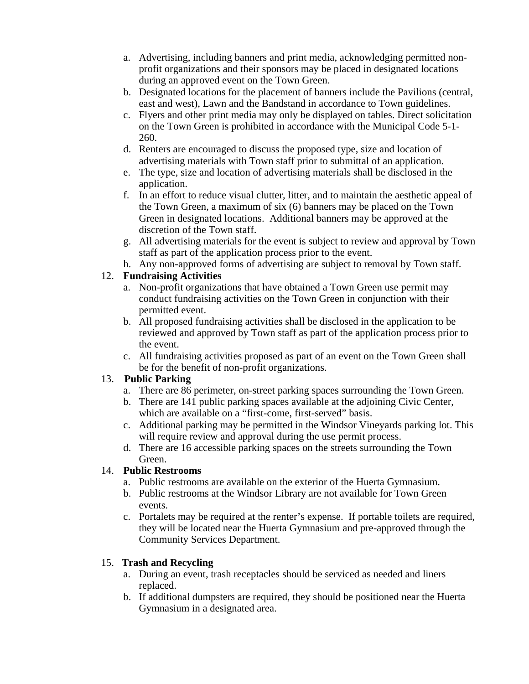- a. Advertising, including banners and print media, acknowledging permitted nonprofit organizations and their sponsors may be placed in designated locations during an approved event on the Town Green.
- b. Designated locations for the placement of banners include the Pavilions (central, east and west), Lawn and the Bandstand in accordance to Town guidelines.
- c. Flyers and other print media may only be displayed on tables. Direct solicitation on the Town Green is prohibited in accordance with the Municipal Code 5-1- 260.
- d. Renters are encouraged to discuss the proposed type, size and location of advertising materials with Town staff prior to submittal of an application.
- e. The type, size and location of advertising materials shall be disclosed in the application.
- f. In an effort to reduce visual clutter, litter, and to maintain the aesthetic appeal of the Town Green, a maximum of six (6) banners may be placed on the Town Green in designated locations. Additional banners may be approved at the discretion of the Town staff.
- g. All advertising materials for the event is subject to review and approval by Town staff as part of the application process prior to the event.
- h. Any non-approved forms of advertising are subject to removal by Town staff.

### 12. **Fundraising Activities**

- a. Non-profit organizations that have obtained a Town Green use permit may conduct fundraising activities on the Town Green in conjunction with their permitted event.
- b. All proposed fundraising activities shall be disclosed in the application to be reviewed and approved by Town staff as part of the application process prior to the event.
- c. All fundraising activities proposed as part of an event on the Town Green shall be for the benefit of non-profit organizations.

### 13. **Public Parking**

- a. There are 86 perimeter, on-street parking spaces surrounding the Town Green.
- b. There are 141 public parking spaces available at the adjoining Civic Center, which are available on a "first-come, first-served" basis.
- c. Additional parking may be permitted in the Windsor Vineyards parking lot. This will require review and approval during the use permit process.
- d. There are 16 accessible parking spaces on the streets surrounding the Town Green.

### 14. **Public Restrooms**

- a. Public restrooms are available on the exterior of the Huerta Gymnasium.
- b. Public restrooms at the Windsor Library are not available for Town Green events.
- c. Portalets may be required at the renter's expense. If portable toilets are required, they will be located near the Huerta Gymnasium and pre-approved through the Community Services Department.

### 15. **Trash and Recycling**

- a. During an event, trash receptacles should be serviced as needed and liners replaced.
- b. If additional dumpsters are required, they should be positioned near the Huerta Gymnasium in a designated area.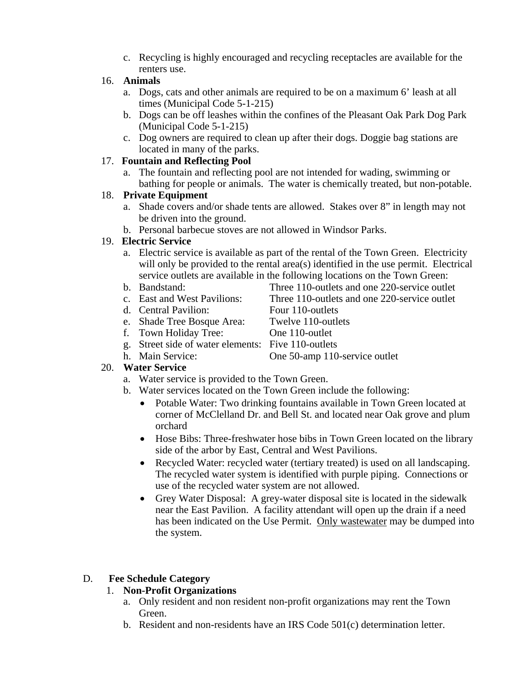c. Recycling is highly encouraged and recycling receptacles are available for the renters use.

### 16. **Animals**

- a. Dogs, cats and other animals are required to be on a maximum 6' leash at all times (Municipal Code 5-1-215)
- b. Dogs can be off leashes within the confines of the Pleasant Oak Park Dog Park (Municipal Code 5-1-215)
- c. Dog owners are required to clean up after their dogs. Doggie bag stations are located in many of the parks.

### 17. **Fountain and Reflecting Pool**

a. The fountain and reflecting pool are not intended for wading, swimming or bathing for people or animals. The water is chemically treated, but non-potable.

#### 18. **Private Equipment**

- a. Shade covers and/or shade tents are allowed. Stakes over 8" in length may not be driven into the ground.
- b. Personal barbecue stoves are not allowed in Windsor Parks.

#### 19. **Electric Service**

- a. Electric service is available as part of the rental of the Town Green. Electricity will only be provided to the rental area(s) identified in the use permit. Electrical service outlets are available in the following locations on the Town Green:
- 
- b. Bandstand: Three 110-outlets and one 220-service outlet c. East and West Pavilions: Three 110-outlets and one 220-service outlet
- 
- d. Central Pavilion: Four 110-outlets
- e. Shade Tree Bosque Area: Twelve 110-outlets
- f. Town Holiday Tree: One 110-outlet
	-
- g. Street side of water elements: Five 110-outlets
- h. Main Service: One 50-amp 110-service outlet

### 20. **Water Service**

- a. Water service is provided to the Town Green.
- b. Water services located on the Town Green include the following:
	- Potable Water: Two drinking fountains available in Town Green located at corner of McClelland Dr. and Bell St. and located near Oak grove and plum orchard
	- Hose Bibs: Three-freshwater hose bibs in Town Green located on the library side of the arbor by East, Central and West Pavilions.
	- Recycled Water: recycled water (tertiary treated) is used on all landscaping. The recycled water system is identified with purple piping. Connections or use of the recycled water system are not allowed.
	- Grey Water Disposal: A grey-water disposal site is located in the sidewalk near the East Pavilion. A facility attendant will open up the drain if a need has been indicated on the Use Permit. Only wastewater may be dumped into the system.

### D. **Fee Schedule Category**

### 1. **Non-Profit Organizations**

- a. Only resident and non resident non-profit organizations may rent the Town Green.
- b. Resident and non-residents have an IRS Code 501(c) determination letter.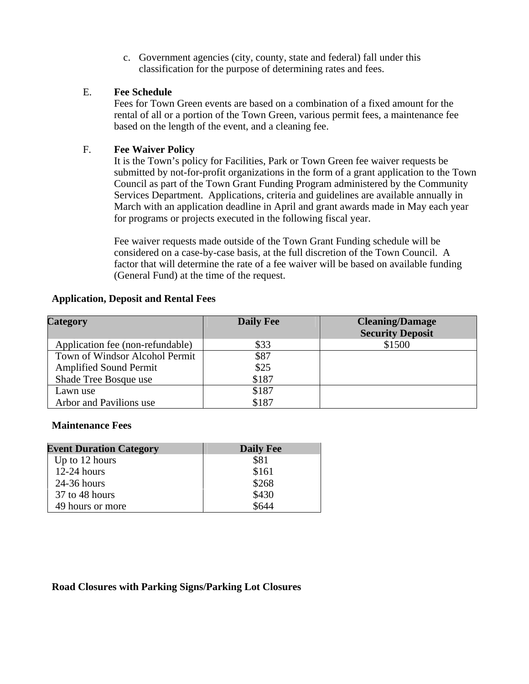c. Government agencies (city, county, state and federal) fall under this classification for the purpose of determining rates and fees.

#### E. **Fee Schedule**

Fees for Town Green events are based on a combination of a fixed amount for the rental of all or a portion of the Town Green, various permit fees, a maintenance fee based on the length of the event, and a cleaning fee.

#### F. **Fee Waiver Policy**

It is the Town's policy for Facilities, Park or Town Green fee waiver requests be submitted by not-for-profit organizations in the form of a grant application to the Town Council as part of the Town Grant Funding Program administered by the Community Services Department. Applications, criteria and guidelines are available annually in March with an application deadline in April and grant awards made in May each year for programs or projects executed in the following fiscal year.

Fee waiver requests made outside of the Town Grant Funding schedule will be considered on a case-by-case basis, at the full discretion of the Town Council. A factor that will determine the rate of a fee waiver will be based on available funding (General Fund) at the time of the request.

#### **Application, Deposit and Rental Fees**

| Category                         | <b>Daily Fee</b> | <b>Cleaning/Damage</b><br><b>Security Deposit</b> |
|----------------------------------|------------------|---------------------------------------------------|
| Application fee (non-refundable) | \$33             | \$1500                                            |
| Town of Windsor Alcohol Permit   | \$87             |                                                   |
| <b>Amplified Sound Permit</b>    | \$25             |                                                   |
| Shade Tree Bosque use            | \$187            |                                                   |
| Lawn use                         | \$187            |                                                   |
| Arbor and Pavilions use          | \$187            |                                                   |

#### **Maintenance Fees**

| <b>Event Duration Category</b> | <b>Daily Fee</b> |
|--------------------------------|------------------|
| Up to 12 hours                 | \$81             |
| $12-24$ hours                  | \$161            |
| $24-36$ hours                  | \$268            |
| 37 to 48 hours                 | \$430            |
| 49 hours or more               | \$644            |

#### **Road Closures with Parking Signs/Parking Lot Closures**